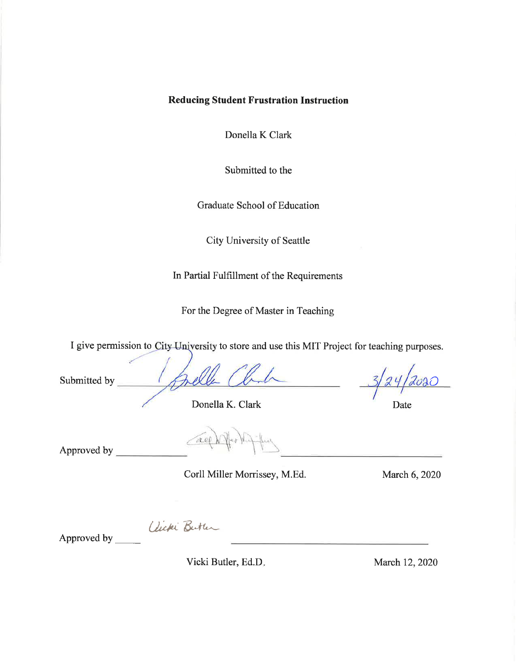# **Reducing Student Frustration Instruction**

Donella K Clark

Submitted to the

Graduate School of Education

**City University of Seattle** 

In Partial Fulfillment of the Requirements

For the Degree of Master in Teaching

I give permission to City University to store and use this MIT Project for teaching purposes.

Belle Clad Submitted by

Donella K. Clark

Date

Approved by

Corll Miller Morrissey, M.Ed.

March 6, 2020

Approved by Uicki Butter

Vicki Butler, Ed.D.

March 12, 2020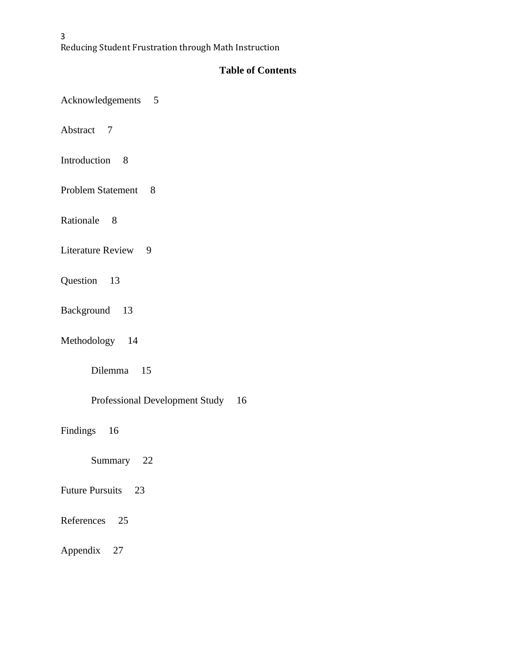# **Table of Contents**

| Acknowledgements |  |
|------------------|--|
|                  |  |

Abstract 7

- Introduction 8
- Problem Statement 8
- Rationale 8
- Literature Review 9
- Question 13
- Background 13
- Methodology 14

Dilemma 15

| <b>Professional Development Study</b> |  | 16 |
|---------------------------------------|--|----|
|                                       |  |    |

Findings 16

Summary 22

Future Pursuits 23

References 25

Appendix 27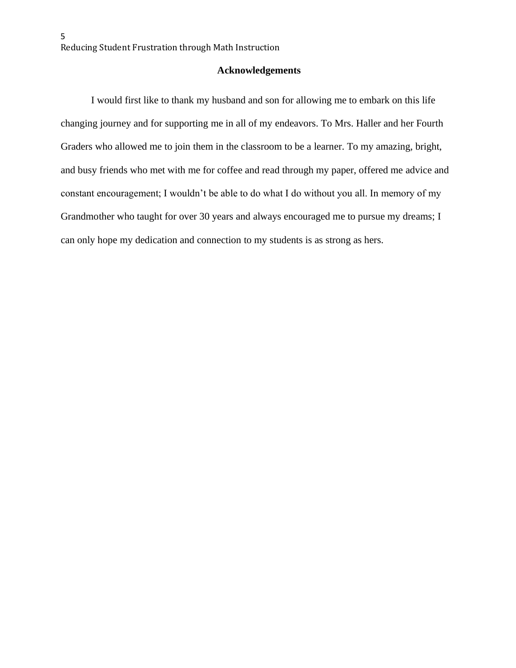5

# **Acknowledgements**

I would first like to thank my husband and son for allowing me to embark on this life changing journey and for supporting me in all of my endeavors. To Mrs. Haller and her Fourth Graders who allowed me to join them in the classroom to be a learner. To my amazing, bright, and busy friends who met with me for coffee and read through my paper, offered me advice and constant encouragement; I wouldn't be able to do what I do without you all. In memory of my Grandmother who taught for over 30 years and always encouraged me to pursue my dreams; I can only hope my dedication and connection to my students is as strong as hers.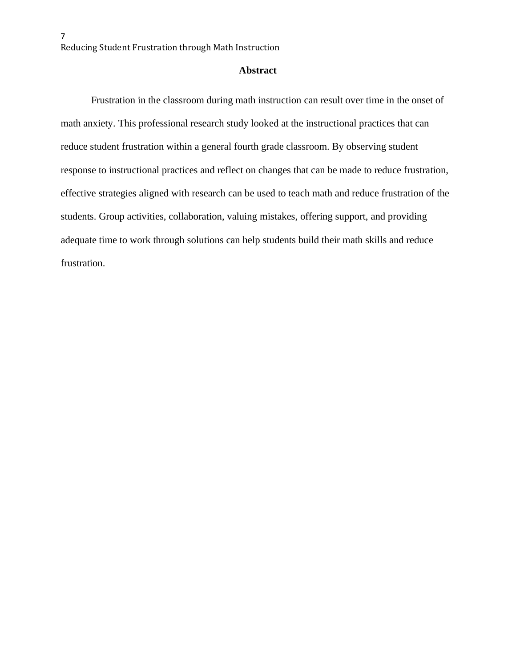7

# **Abstract**

Frustration in the classroom during math instruction can result over time in the onset of math anxiety. This professional research study looked at the instructional practices that can reduce student frustration within a general fourth grade classroom. By observing student response to instructional practices and reflect on changes that can be made to reduce frustration, effective strategies aligned with research can be used to teach math and reduce frustration of the students. Group activities, collaboration, valuing mistakes, offering support, and providing adequate time to work through solutions can help students build their math skills and reduce frustration.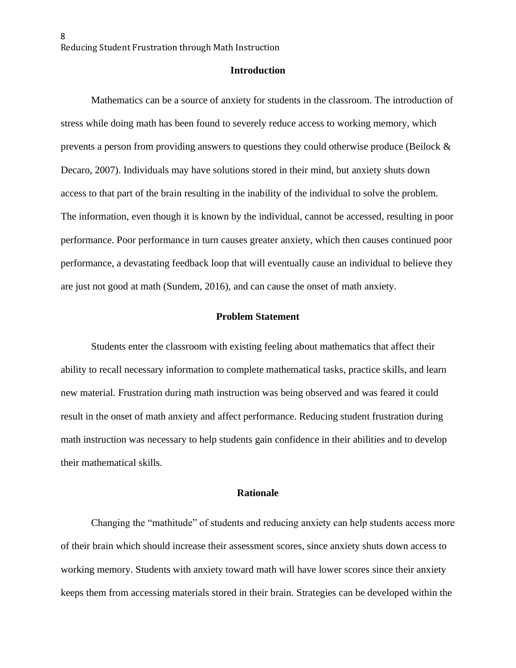8

#### **Introduction**

Mathematics can be a source of anxiety for students in the classroom. The introduction of stress while doing math has been found to severely reduce access to working memory, which prevents a person from providing answers to questions they could otherwise produce (Beilock & Decaro, 2007). Individuals may have solutions stored in their mind, but anxiety shuts down access to that part of the brain resulting in the inability of the individual to solve the problem. The information, even though it is known by the individual, cannot be accessed, resulting in poor performance. Poor performance in turn causes greater anxiety, which then causes continued poor performance, a devastating feedback loop that will eventually cause an individual to believe they are just not good at math (Sundem, 2016), and can cause the onset of math anxiety.

#### **Problem Statement**

Students enter the classroom with existing feeling about mathematics that affect their ability to recall necessary information to complete mathematical tasks, practice skills, and learn new material. Frustration during math instruction was being observed and was feared it could result in the onset of math anxiety and affect performance. Reducing student frustration during math instruction was necessary to help students gain confidence in their abilities and to develop their mathematical skills.

#### **Rationale**

Changing the "mathitude" of students and reducing anxiety can help students access more of their brain which should increase their assessment scores, since anxiety shuts down access to working memory. Students with anxiety toward math will have lower scores since their anxiety keeps them from accessing materials stored in their brain. Strategies can be developed within the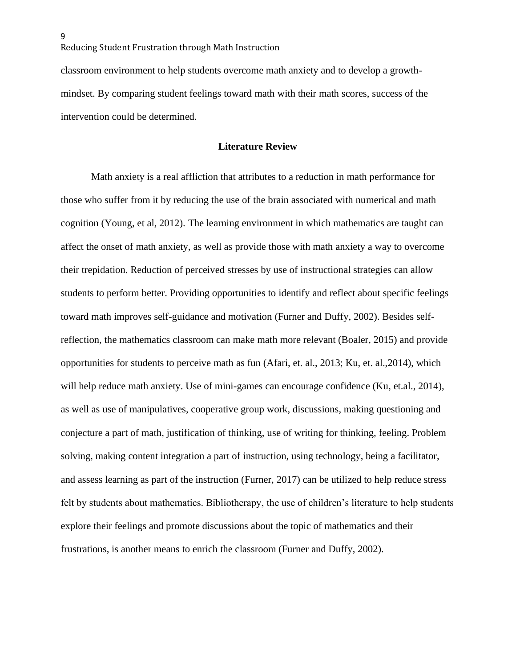classroom environment to help students overcome math anxiety and to develop a growthmindset. By comparing student feelings toward math with their math scores, success of the intervention could be determined.

#### **Literature Review**

Math anxiety is a real affliction that attributes to a reduction in math performance for those who suffer from it by reducing the use of the brain associated with numerical and math cognition (Young, et al, 2012). The learning environment in which mathematics are taught can affect the onset of math anxiety, as well as provide those with math anxiety a way to overcome their trepidation. Reduction of perceived stresses by use of instructional strategies can allow students to perform better. Providing opportunities to identify and reflect about specific feelings toward math improves self-guidance and motivation (Furner and Duffy, 2002). Besides selfreflection, the mathematics classroom can make math more relevant (Boaler, 2015) and provide opportunities for students to perceive math as fun (Afari, et. al., 2013; Ku, et. al.,2014), which will help reduce math anxiety. Use of mini-games can encourage confidence (Ku, et.al., 2014), as well as use of manipulatives, cooperative group work, discussions, making questioning and conjecture a part of math, justification of thinking, use of writing for thinking, feeling. Problem solving, making content integration a part of instruction, using technology, being a facilitator, and assess learning as part of the instruction (Furner, 2017) can be utilized to help reduce stress felt by students about mathematics. Bibliotherapy, the use of children's literature to help students explore their feelings and promote discussions about the topic of mathematics and their frustrations, is another means to enrich the classroom (Furner and Duffy, 2002).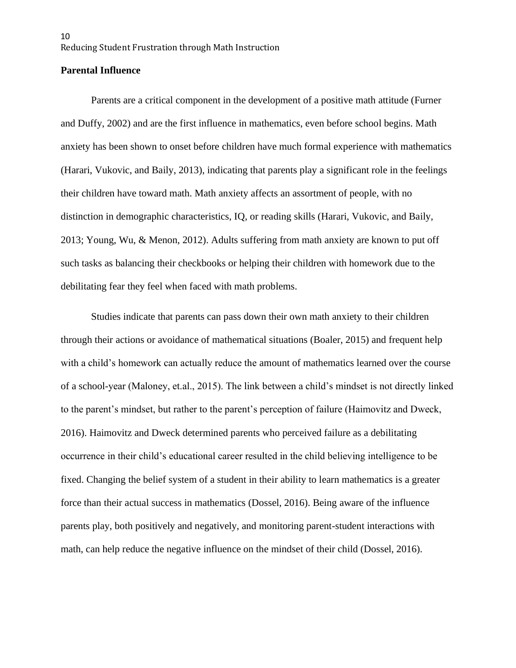### **Parental Influence**

Parents are a critical component in the development of a positive math attitude (Furner and Duffy, 2002) and are the first influence in mathematics, even before school begins. Math anxiety has been shown to onset before children have much formal experience with mathematics (Harari, Vukovic, and Baily, 2013), indicating that parents play a significant role in the feelings their children have toward math. Math anxiety affects an assortment of people, with no distinction in demographic characteristics, IQ, or reading skills (Harari, Vukovic, and Baily, 2013; Young, Wu, & Menon, 2012). Adults suffering from math anxiety are known to put off such tasks as balancing their checkbooks or helping their children with homework due to the debilitating fear they feel when faced with math problems.

Studies indicate that parents can pass down their own math anxiety to their children through their actions or avoidance of mathematical situations (Boaler, 2015) and frequent help with a child's homework can actually reduce the amount of mathematics learned over the course of a school-year (Maloney, et.al., 2015). The link between a child's mindset is not directly linked to the parent's mindset, but rather to the parent's perception of failure (Haimovitz and Dweck, 2016). Haimovitz and Dweck determined parents who perceived failure as a debilitating occurrence in their child's educational career resulted in the child believing intelligence to be fixed. Changing the belief system of a student in their ability to learn mathematics is a greater force than their actual success in mathematics (Dossel, 2016). Being aware of the influence parents play, both positively and negatively, and monitoring parent-student interactions with math, can help reduce the negative influence on the mindset of their child (Dossel, 2016).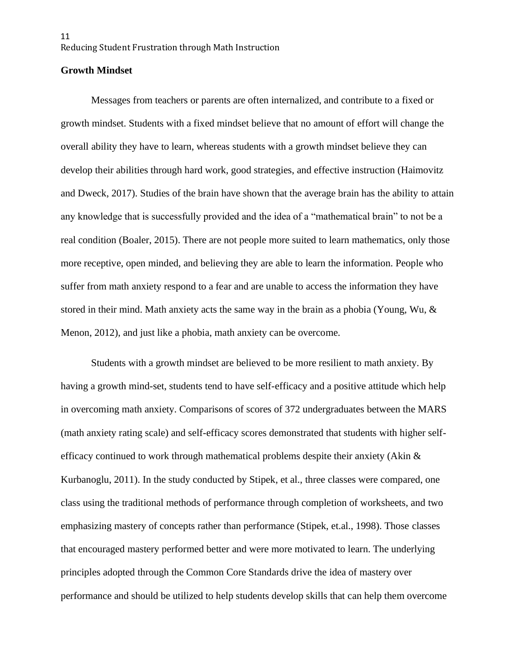### **Growth Mindset**

Messages from teachers or parents are often internalized, and contribute to a fixed or growth mindset. Students with a fixed mindset believe that no amount of effort will change the overall ability they have to learn, whereas students with a growth mindset believe they can develop their abilities through hard work, good strategies, and effective instruction (Haimovitz and Dweck, 2017). Studies of the brain have shown that the average brain has the ability to attain any knowledge that is successfully provided and the idea of a "mathematical brain" to not be a real condition (Boaler, 2015). There are not people more suited to learn mathematics, only those more receptive, open minded, and believing they are able to learn the information. People who suffer from math anxiety respond to a fear and are unable to access the information they have stored in their mind. Math anxiety acts the same way in the brain as a phobia (Young, Wu, & Menon, 2012), and just like a phobia, math anxiety can be overcome.

Students with a growth mindset are believed to be more resilient to math anxiety. By having a growth mind-set, students tend to have self-efficacy and a positive attitude which help in overcoming math anxiety. Comparisons of scores of 372 undergraduates between the MARS (math anxiety rating scale) and self-efficacy scores demonstrated that students with higher selfefficacy continued to work through mathematical problems despite their anxiety (Akin & Kurbanoglu, 2011). In the study conducted by Stipek, et al., three classes were compared, one class using the traditional methods of performance through completion of worksheets, and two emphasizing mastery of concepts rather than performance (Stipek, et.al., 1998). Those classes that encouraged mastery performed better and were more motivated to learn. The underlying principles adopted through the Common Core Standards drive the idea of mastery over performance and should be utilized to help students develop skills that can help them overcome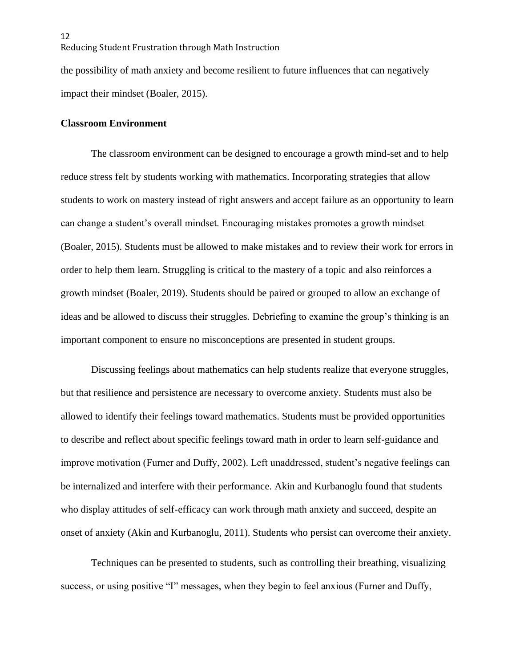the possibility of math anxiety and become resilient to future influences that can negatively impact their mindset (Boaler, 2015).

### **Classroom Environment**

12

The classroom environment can be designed to encourage a growth mind-set and to help reduce stress felt by students working with mathematics. Incorporating strategies that allow students to work on mastery instead of right answers and accept failure as an opportunity to learn can change a student's overall mindset. Encouraging mistakes promotes a growth mindset (Boaler, 2015). Students must be allowed to make mistakes and to review their work for errors in order to help them learn. Struggling is critical to the mastery of a topic and also reinforces a growth mindset (Boaler, 2019). Students should be paired or grouped to allow an exchange of ideas and be allowed to discuss their struggles. Debriefing to examine the group's thinking is an important component to ensure no misconceptions are presented in student groups.

Discussing feelings about mathematics can help students realize that everyone struggles, but that resilience and persistence are necessary to overcome anxiety. Students must also be allowed to identify their feelings toward mathematics. Students must be provided opportunities to describe and reflect about specific feelings toward math in order to learn self-guidance and improve motivation (Furner and Duffy, 2002). Left unaddressed, student's negative feelings can be internalized and interfere with their performance. Akin and Kurbanoglu found that students who display attitudes of self-efficacy can work through math anxiety and succeed, despite an onset of anxiety (Akin and Kurbanoglu, 2011). Students who persist can overcome their anxiety.

Techniques can be presented to students, such as controlling their breathing, visualizing success, or using positive "I" messages, when they begin to feel anxious (Furner and Duffy,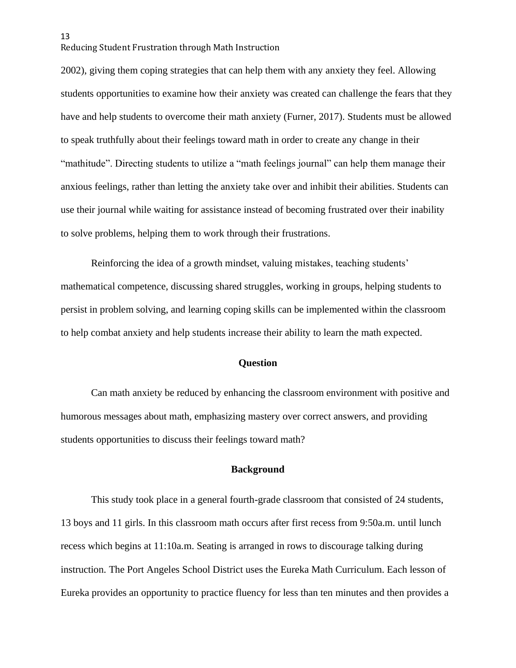2002), giving them coping strategies that can help them with any anxiety they feel. Allowing students opportunities to examine how their anxiety was created can challenge the fears that they have and help students to overcome their math anxiety (Furner, 2017). Students must be allowed to speak truthfully about their feelings toward math in order to create any change in their "mathitude". Directing students to utilize a "math feelings journal" can help them manage their anxious feelings, rather than letting the anxiety take over and inhibit their abilities. Students can use their journal while waiting for assistance instead of becoming frustrated over their inability to solve problems, helping them to work through their frustrations.

Reinforcing the idea of a growth mindset, valuing mistakes, teaching students' mathematical competence, discussing shared struggles, working in groups, helping students to persist in problem solving, and learning coping skills can be implemented within the classroom to help combat anxiety and help students increase their ability to learn the math expected.

## **Question**

Can math anxiety be reduced by enhancing the classroom environment with positive and humorous messages about math, emphasizing mastery over correct answers, and providing students opportunities to discuss their feelings toward math?

### **Background**

This study took place in a general fourth-grade classroom that consisted of 24 students, 13 boys and 11 girls. In this classroom math occurs after first recess from 9:50a.m. until lunch recess which begins at 11:10a.m. Seating is arranged in rows to discourage talking during instruction. The Port Angeles School District uses the Eureka Math Curriculum. Each lesson of Eureka provides an opportunity to practice fluency for less than ten minutes and then provides a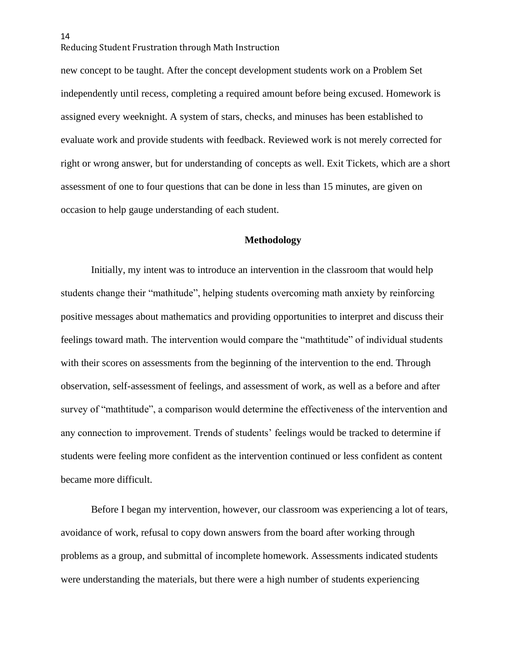new concept to be taught. After the concept development students work on a Problem Set independently until recess, completing a required amount before being excused. Homework is assigned every weeknight. A system of stars, checks, and minuses has been established to evaluate work and provide students with feedback. Reviewed work is not merely corrected for right or wrong answer, but for understanding of concepts as well. Exit Tickets, which are a short assessment of one to four questions that can be done in less than 15 minutes, are given on occasion to help gauge understanding of each student.

#### **Methodology**

Initially, my intent was to introduce an intervention in the classroom that would help students change their "mathitude", helping students overcoming math anxiety by reinforcing positive messages about mathematics and providing opportunities to interpret and discuss their feelings toward math. The intervention would compare the "mathtitude" of individual students with their scores on assessments from the beginning of the intervention to the end. Through observation, self-assessment of feelings, and assessment of work, as well as a before and after survey of "mathtitude", a comparison would determine the effectiveness of the intervention and any connection to improvement. Trends of students' feelings would be tracked to determine if students were feeling more confident as the intervention continued or less confident as content became more difficult.

Before I began my intervention, however, our classroom was experiencing a lot of tears, avoidance of work, refusal to copy down answers from the board after working through problems as a group, and submittal of incomplete homework. Assessments indicated students were understanding the materials, but there were a high number of students experiencing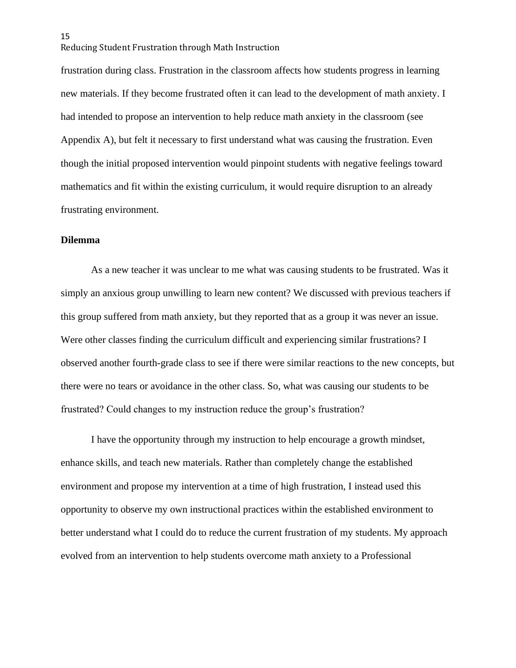frustration during class. Frustration in the classroom affects how students progress in learning new materials. If they become frustrated often it can lead to the development of math anxiety. I had intended to propose an intervention to help reduce math anxiety in the classroom (see Appendix A), but felt it necessary to first understand what was causing the frustration. Even though the initial proposed intervention would pinpoint students with negative feelings toward mathematics and fit within the existing curriculum, it would require disruption to an already frustrating environment.

#### **Dilemma**

As a new teacher it was unclear to me what was causing students to be frustrated. Was it simply an anxious group unwilling to learn new content? We discussed with previous teachers if this group suffered from math anxiety, but they reported that as a group it was never an issue. Were other classes finding the curriculum difficult and experiencing similar frustrations? I observed another fourth-grade class to see if there were similar reactions to the new concepts, but there were no tears or avoidance in the other class. So, what was causing our students to be frustrated? Could changes to my instruction reduce the group's frustration?

I have the opportunity through my instruction to help encourage a growth mindset, enhance skills, and teach new materials. Rather than completely change the established environment and propose my intervention at a time of high frustration, I instead used this opportunity to observe my own instructional practices within the established environment to better understand what I could do to reduce the current frustration of my students. My approach evolved from an intervention to help students overcome math anxiety to a Professional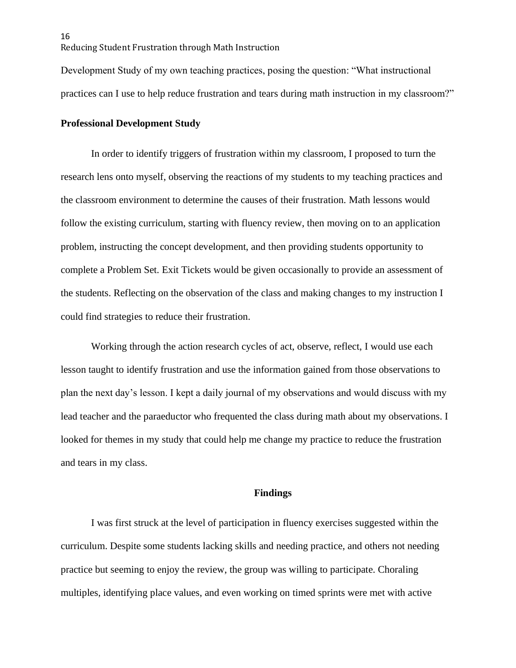Development Study of my own teaching practices, posing the question: "What instructional practices can I use to help reduce frustration and tears during math instruction in my classroom?"

#### **Professional Development Study**

16

In order to identify triggers of frustration within my classroom, I proposed to turn the research lens onto myself, observing the reactions of my students to my teaching practices and the classroom environment to determine the causes of their frustration. Math lessons would follow the existing curriculum, starting with fluency review, then moving on to an application problem, instructing the concept development, and then providing students opportunity to complete a Problem Set. Exit Tickets would be given occasionally to provide an assessment of the students. Reflecting on the observation of the class and making changes to my instruction I could find strategies to reduce their frustration.

Working through the action research cycles of act, observe, reflect, I would use each lesson taught to identify frustration and use the information gained from those observations to plan the next day's lesson. I kept a daily journal of my observations and would discuss with my lead teacher and the paraeductor who frequented the class during math about my observations. I looked for themes in my study that could help me change my practice to reduce the frustration and tears in my class.

#### **Findings**

I was first struck at the level of participation in fluency exercises suggested within the curriculum. Despite some students lacking skills and needing practice, and others not needing practice but seeming to enjoy the review, the group was willing to participate. Choraling multiples, identifying place values, and even working on timed sprints were met with active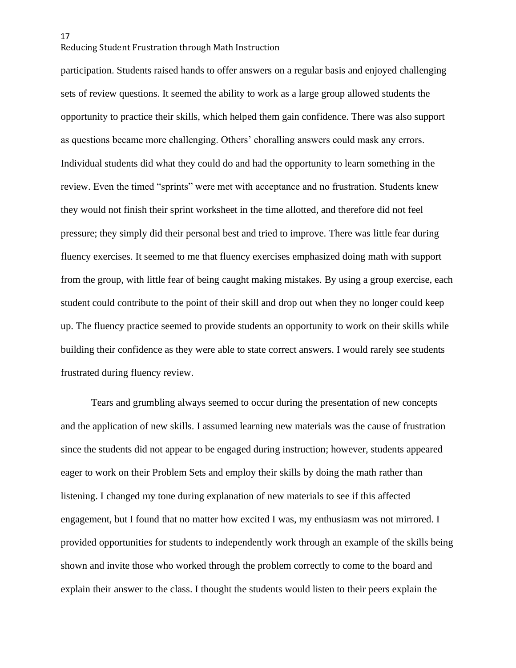participation. Students raised hands to offer answers on a regular basis and enjoyed challenging sets of review questions. It seemed the ability to work as a large group allowed students the opportunity to practice their skills, which helped them gain confidence. There was also support as questions became more challenging. Others' choralling answers could mask any errors. Individual students did what they could do and had the opportunity to learn something in the review. Even the timed "sprints" were met with acceptance and no frustration. Students knew they would not finish their sprint worksheet in the time allotted, and therefore did not feel pressure; they simply did their personal best and tried to improve. There was little fear during fluency exercises. It seemed to me that fluency exercises emphasized doing math with support from the group, with little fear of being caught making mistakes. By using a group exercise, each student could contribute to the point of their skill and drop out when they no longer could keep up. The fluency practice seemed to provide students an opportunity to work on their skills while building their confidence as they were able to state correct answers. I would rarely see students frustrated during fluency review.

Tears and grumbling always seemed to occur during the presentation of new concepts and the application of new skills. I assumed learning new materials was the cause of frustration since the students did not appear to be engaged during instruction; however, students appeared eager to work on their Problem Sets and employ their skills by doing the math rather than listening. I changed my tone during explanation of new materials to see if this affected engagement, but I found that no matter how excited I was, my enthusiasm was not mirrored. I provided opportunities for students to independently work through an example of the skills being shown and invite those who worked through the problem correctly to come to the board and explain their answer to the class. I thought the students would listen to their peers explain the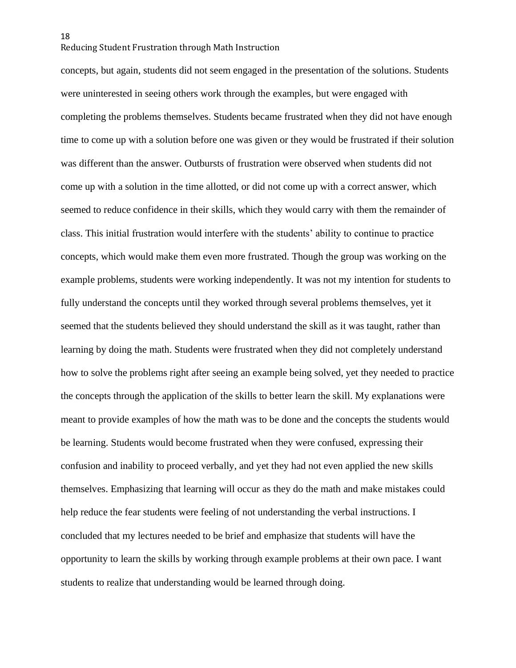concepts, but again, students did not seem engaged in the presentation of the solutions. Students were uninterested in seeing others work through the examples, but were engaged with completing the problems themselves. Students became frustrated when they did not have enough time to come up with a solution before one was given or they would be frustrated if their solution was different than the answer. Outbursts of frustration were observed when students did not come up with a solution in the time allotted, or did not come up with a correct answer, which seemed to reduce confidence in their skills, which they would carry with them the remainder of class. This initial frustration would interfere with the students' ability to continue to practice concepts, which would make them even more frustrated. Though the group was working on the example problems, students were working independently. It was not my intention for students to fully understand the concepts until they worked through several problems themselves, yet it seemed that the students believed they should understand the skill as it was taught, rather than learning by doing the math. Students were frustrated when they did not completely understand how to solve the problems right after seeing an example being solved, yet they needed to practice the concepts through the application of the skills to better learn the skill. My explanations were meant to provide examples of how the math was to be done and the concepts the students would be learning. Students would become frustrated when they were confused, expressing their confusion and inability to proceed verbally, and yet they had not even applied the new skills themselves. Emphasizing that learning will occur as they do the math and make mistakes could help reduce the fear students were feeling of not understanding the verbal instructions. I concluded that my lectures needed to be brief and emphasize that students will have the opportunity to learn the skills by working through example problems at their own pace. I want students to realize that understanding would be learned through doing.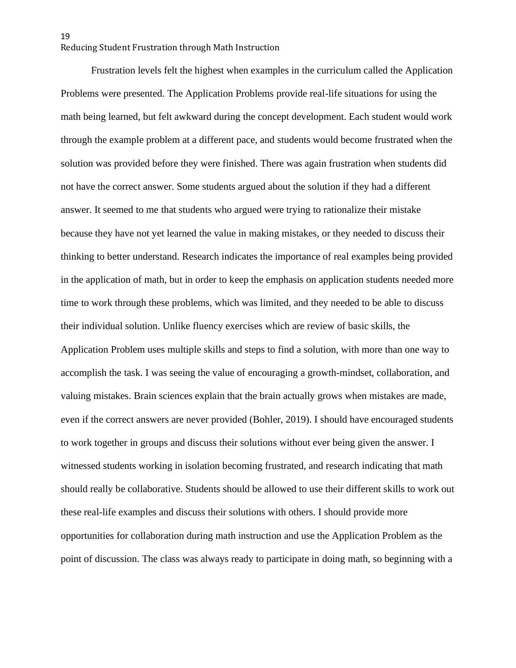Frustration levels felt the highest when examples in the curriculum called the Application Problems were presented. The Application Problems provide real-life situations for using the math being learned, but felt awkward during the concept development. Each student would work through the example problem at a different pace, and students would become frustrated when the solution was provided before they were finished. There was again frustration when students did not have the correct answer. Some students argued about the solution if they had a different answer. It seemed to me that students who argued were trying to rationalize their mistake because they have not yet learned the value in making mistakes, or they needed to discuss their thinking to better understand. Research indicates the importance of real examples being provided in the application of math, but in order to keep the emphasis on application students needed more time to work through these problems, which was limited, and they needed to be able to discuss their individual solution. Unlike fluency exercises which are review of basic skills, the Application Problem uses multiple skills and steps to find a solution, with more than one way to accomplish the task. I was seeing the value of encouraging a growth-mindset, collaboration, and valuing mistakes. Brain sciences explain that the brain actually grows when mistakes are made, even if the correct answers are never provided (Bohler, 2019). I should have encouraged students to work together in groups and discuss their solutions without ever being given the answer. I witnessed students working in isolation becoming frustrated, and research indicating that math should really be collaborative. Students should be allowed to use their different skills to work out these real-life examples and discuss their solutions with others. I should provide more opportunities for collaboration during math instruction and use the Application Problem as the point of discussion. The class was always ready to participate in doing math, so beginning with a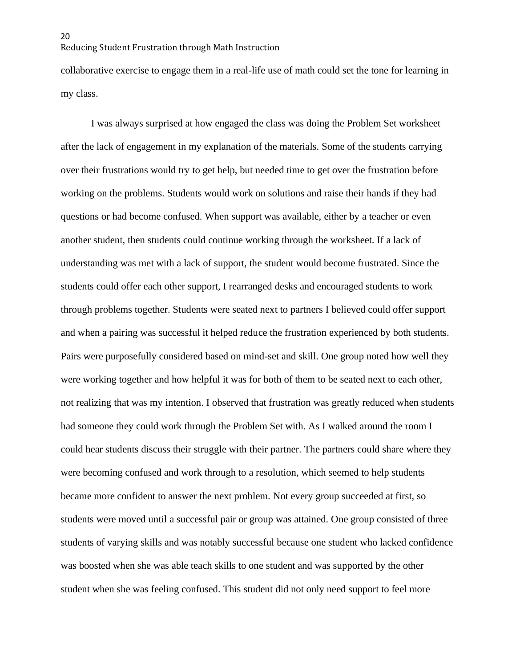collaborative exercise to engage them in a real-life use of math could set the tone for learning in my class.

I was always surprised at how engaged the class was doing the Problem Set worksheet after the lack of engagement in my explanation of the materials. Some of the students carrying over their frustrations would try to get help, but needed time to get over the frustration before working on the problems. Students would work on solutions and raise their hands if they had questions or had become confused. When support was available, either by a teacher or even another student, then students could continue working through the worksheet. If a lack of understanding was met with a lack of support, the student would become frustrated. Since the students could offer each other support, I rearranged desks and encouraged students to work through problems together. Students were seated next to partners I believed could offer support and when a pairing was successful it helped reduce the frustration experienced by both students. Pairs were purposefully considered based on mind-set and skill. One group noted how well they were working together and how helpful it was for both of them to be seated next to each other, not realizing that was my intention. I observed that frustration was greatly reduced when students had someone they could work through the Problem Set with. As I walked around the room I could hear students discuss their struggle with their partner. The partners could share where they were becoming confused and work through to a resolution, which seemed to help students became more confident to answer the next problem. Not every group succeeded at first, so students were moved until a successful pair or group was attained. One group consisted of three students of varying skills and was notably successful because one student who lacked confidence was boosted when she was able teach skills to one student and was supported by the other student when she was feeling confused. This student did not only need support to feel more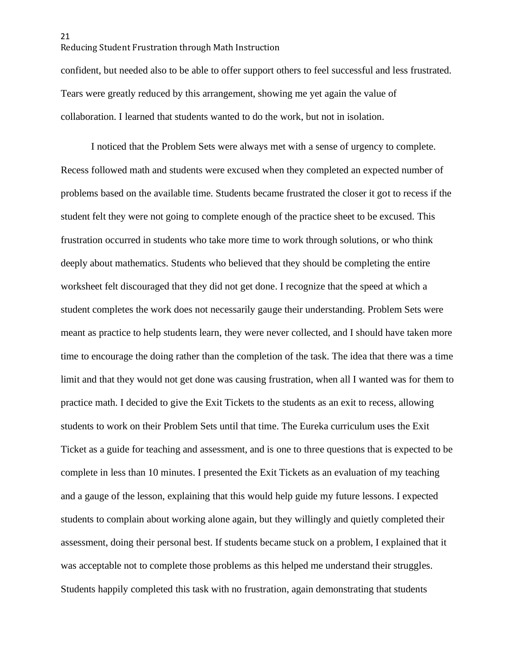confident, but needed also to be able to offer support others to feel successful and less frustrated. Tears were greatly reduced by this arrangement, showing me yet again the value of collaboration. I learned that students wanted to do the work, but not in isolation.

I noticed that the Problem Sets were always met with a sense of urgency to complete. Recess followed math and students were excused when they completed an expected number of problems based on the available time. Students became frustrated the closer it got to recess if the student felt they were not going to complete enough of the practice sheet to be excused. This frustration occurred in students who take more time to work through solutions, or who think deeply about mathematics. Students who believed that they should be completing the entire worksheet felt discouraged that they did not get done. I recognize that the speed at which a student completes the work does not necessarily gauge their understanding. Problem Sets were meant as practice to help students learn, they were never collected, and I should have taken more time to encourage the doing rather than the completion of the task. The idea that there was a time limit and that they would not get done was causing frustration, when all I wanted was for them to practice math. I decided to give the Exit Tickets to the students as an exit to recess, allowing students to work on their Problem Sets until that time. The Eureka curriculum uses the Exit Ticket as a guide for teaching and assessment, and is one to three questions that is expected to be complete in less than 10 minutes. I presented the Exit Tickets as an evaluation of my teaching and a gauge of the lesson, explaining that this would help guide my future lessons. I expected students to complain about working alone again, but they willingly and quietly completed their assessment, doing their personal best. If students became stuck on a problem, I explained that it was acceptable not to complete those problems as this helped me understand their struggles. Students happily completed this task with no frustration, again demonstrating that students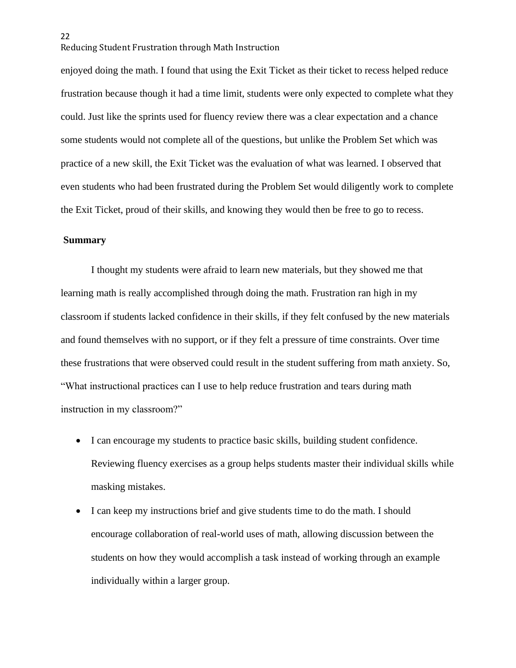enjoyed doing the math. I found that using the Exit Ticket as their ticket to recess helped reduce frustration because though it had a time limit, students were only expected to complete what they could. Just like the sprints used for fluency review there was a clear expectation and a chance some students would not complete all of the questions, but unlike the Problem Set which was practice of a new skill, the Exit Ticket was the evaluation of what was learned. I observed that even students who had been frustrated during the Problem Set would diligently work to complete the Exit Ticket, proud of their skills, and knowing they would then be free to go to recess.

## **Summary**

I thought my students were afraid to learn new materials, but they showed me that learning math is really accomplished through doing the math. Frustration ran high in my classroom if students lacked confidence in their skills, if they felt confused by the new materials and found themselves with no support, or if they felt a pressure of time constraints. Over time these frustrations that were observed could result in the student suffering from math anxiety. So, "What instructional practices can I use to help reduce frustration and tears during math instruction in my classroom?"

- I can encourage my students to practice basic skills, building student confidence. Reviewing fluency exercises as a group helps students master their individual skills while masking mistakes.
- I can keep my instructions brief and give students time to do the math. I should encourage collaboration of real-world uses of math, allowing discussion between the students on how they would accomplish a task instead of working through an example individually within a larger group.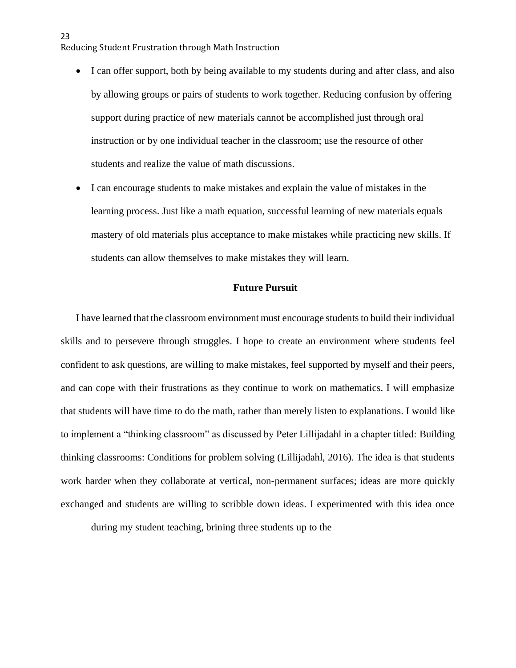- I can offer support, both by being available to my students during and after class, and also by allowing groups or pairs of students to work together. Reducing confusion by offering support during practice of new materials cannot be accomplished just through oral instruction or by one individual teacher in the classroom; use the resource of other students and realize the value of math discussions.
- I can encourage students to make mistakes and explain the value of mistakes in the learning process. Just like a math equation, successful learning of new materials equals mastery of old materials plus acceptance to make mistakes while practicing new skills. If students can allow themselves to make mistakes they will learn.

#### **Future Pursuit**

I have learned that the classroom environment must encourage students to build their individual skills and to persevere through struggles. I hope to create an environment where students feel confident to ask questions, are willing to make mistakes, feel supported by myself and their peers, and can cope with their frustrations as they continue to work on mathematics. I will emphasize that students will have time to do the math, rather than merely listen to explanations. I would like to implement a "thinking classroom" as discussed by Peter Lillijadahl in a chapter titled: Building thinking classrooms: Conditions for problem solving (Lillijadahl, 2016). The idea is that students work harder when they collaborate at vertical, non-permanent surfaces; ideas are more quickly exchanged and students are willing to scribble down ideas. I experimented with this idea once

during my student teaching, brining three students up to the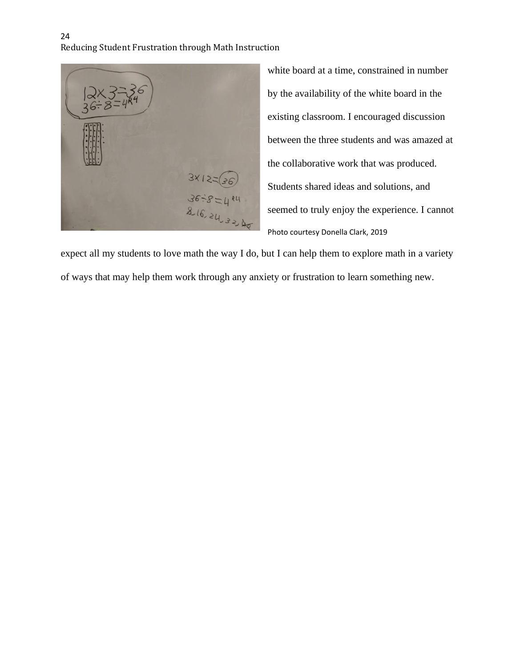

white board at a time, constrained in number by the availability of the white board in the existing classroom. I encouraged discussion between the three students and was amazed at the collaborative work that was produced. Students shared ideas and solutions, and seemed to truly enjoy the experience. I cannot Photo courtesy Donella Clark, 2019

expect all my students to love math the way I do, but I can help them to explore math in a variety of ways that may help them work through any anxiety or frustration to learn something new.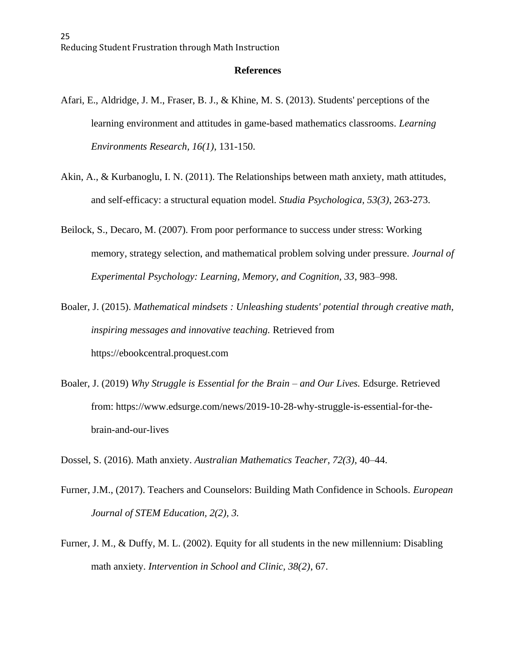# **References**

- Afari, E., Aldridge, J. M., Fraser, B. J., & Khine, M. S. (2013). Students' perceptions of the learning environment and attitudes in game-based mathematics classrooms. *Learning Environments Research, 16(1)*, 131-150.
- Akin, A., & Kurbanoglu, I. N. (2011). The Relationships between math anxiety, math attitudes, and self-efficacy: a structural equation model. *Studia Psychologica, 53(3)*, 263-273.
- Beilock, S., Decaro, M. (2007). From poor performance to success under stress: Working memory, strategy selection, and mathematical problem solving under pressure. *Journal of Experimental Psychology: Learning, Memory, and Cognition, 33*, 983–998.
- Boaler, J. (2015). *Mathematical mindsets : Unleashing students' potential through creative math, inspiring messages and innovative teaching.* Retrieved from [https://ebookcentral.proquest.com](https://ebookcentral.proquest.com/)
- Boaler, J. (2019) *Why Struggle is Essential for the Brain – and Our Lives.* Edsurge. Retrieved from: [https://www.edsurge.com/news/2019-10-28-why-struggle-is-essential-for-the](https://www.edsurge.com/news/2019-10-28-why-struggle-is-essential-for-the-brain-and-our-lives)[brain-and-our-lives](https://www.edsurge.com/news/2019-10-28-why-struggle-is-essential-for-the-brain-and-our-lives)

Dossel, S. (2016). Math anxiety. *Australian Mathematics Teacher, 72(3)*, 40–44.

- Furner, J.M., (2017). Teachers and Counselors: Building Math Confidence in Schools. *European Journal of STEM Education, 2(2), 3.*
- Furner, J. M., & Duffy, M. L. (2002). Equity for all students in the new millennium: Disabling math anxiety. *Intervention in School and Clinic, 38(2)*, 67.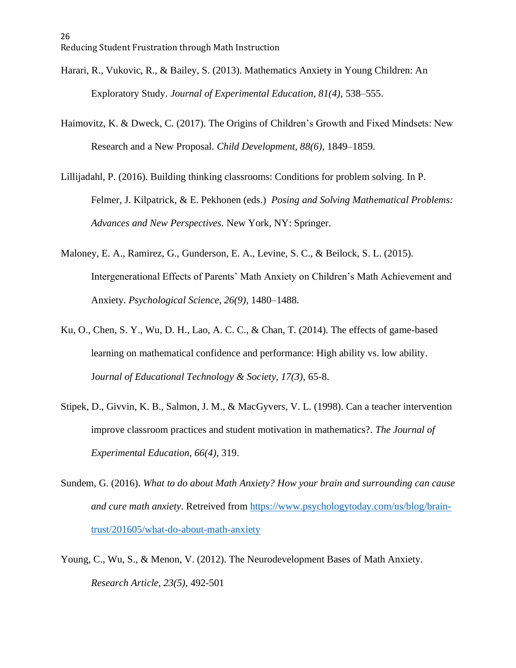- Harari, R., Vukovic, R., & Bailey, S. (2013). Mathematics Anxiety in Young Children: An Exploratory Study. *Journal of Experimental Education, 81(4)*, 538–555.
- Haimovitz, K. & Dweck, C. (2017). The Origins of Children's Growth and Fixed Mindsets: New Research and a New Proposal. *Child Development, 88(6)*, 1849–1859.
- Lillijadahl, P. (2016). Building thinking classrooms: Conditions for problem solving. In P. Felmer, J. Kilpatrick, & E. Pekhonen (eds.) *Posing and Solving Mathematical Problems: Advances and New Perspectives.* New York, NY: Springer.
- Maloney, E. A., Ramirez, G., Gunderson, E. A., Levine, S. C., & Beilock, S. L. (2015). Intergenerational Effects of Parents' Math Anxiety on Children's Math Achievement and Anxiety. *Psychological Science, 26(9)*, 1480–1488.
- Ku, O., Chen, S. Y., Wu, D. H., Lao, A. C. C., & Chan, T. (2014). The effects of game-based learning on mathematical confidence and performance: High ability vs. low ability. J*ournal of Educational Technology & Society, 17(3)*, 65-8.
- Stipek, D., Givvin, K. B., Salmon, J. M., & MacGyvers, V. L. (1998). Can a teacher intervention improve classroom practices and student motivation in mathematics?. *The Journal of Experimental Education, 66(4)*, 319.
- Sundem, G. (2016). *What to do about Math Anxiety? How your brain and surrounding can cause and cure math anxiety*. Retreived from [https://www.psychologytoday.com/us/blog/brain](https://www.psychologytoday.com/us/blog/brain-trust/201605/what-do-about-math-anxiety)[trust/201605/what-do-about-math-anxiety](https://www.psychologytoday.com/us/blog/brain-trust/201605/what-do-about-math-anxiety)
- Young, C., Wu, S., & Menon, V. (2012). The Neurodevelopment Bases of Math Anxiety. *Research Article, 23(5)*, 492-501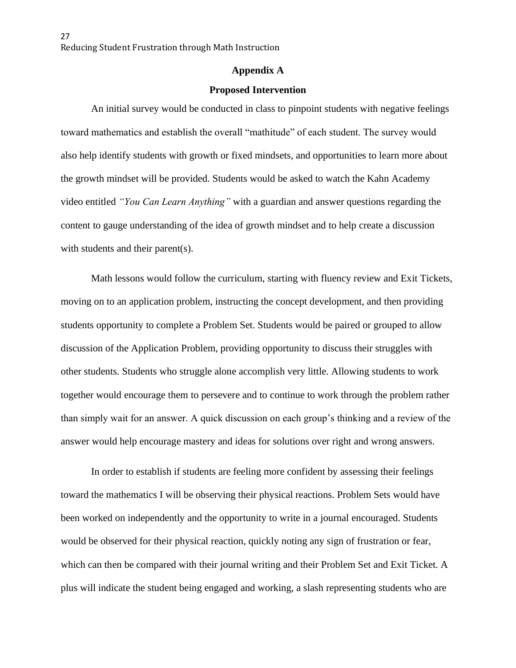# **Appendix A**

#### **Proposed Intervention**

An initial survey would be conducted in class to pinpoint students with negative feelings toward mathematics and establish the overall "mathitude" of each student. The survey would also help identify students with growth or fixed mindsets, and opportunities to learn more about the growth mindset will be provided. Students would be asked to watch the Kahn Academy video entitled *"You Can Learn Anything"* with a guardian and answer questions regarding the content to gauge understanding of the idea of growth mindset and to help create a discussion with students and their parent(s).

Math lessons would follow the curriculum, starting with fluency review and Exit Tickets, moving on to an application problem, instructing the concept development, and then providing students opportunity to complete a Problem Set. Students would be paired or grouped to allow discussion of the Application Problem, providing opportunity to discuss their struggles with other students. Students who struggle alone accomplish very little. Allowing students to work together would encourage them to persevere and to continue to work through the problem rather than simply wait for an answer. A quick discussion on each group's thinking and a review of the answer would help encourage mastery and ideas for solutions over right and wrong answers.

In order to establish if students are feeling more confident by assessing their feelings toward the mathematics I will be observing their physical reactions. Problem Sets would have been worked on independently and the opportunity to write in a journal encouraged. Students would be observed for their physical reaction, quickly noting any sign of frustration or fear, which can then be compared with their journal writing and their Problem Set and Exit Ticket. A plus will indicate the student being engaged and working, a slash representing students who are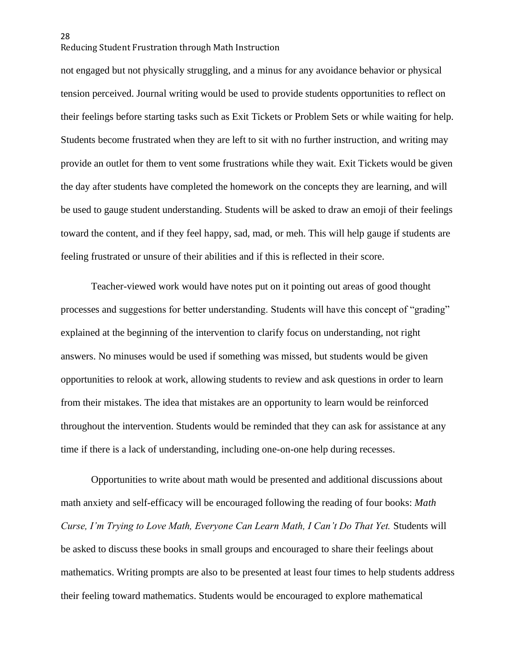not engaged but not physically struggling, and a minus for any avoidance behavior or physical tension perceived. Journal writing would be used to provide students opportunities to reflect on their feelings before starting tasks such as Exit Tickets or Problem Sets or while waiting for help. Students become frustrated when they are left to sit with no further instruction, and writing may provide an outlet for them to vent some frustrations while they wait. Exit Tickets would be given the day after students have completed the homework on the concepts they are learning, and will be used to gauge student understanding. Students will be asked to draw an emoji of their feelings toward the content, and if they feel happy, sad, mad, or meh. This will help gauge if students are feeling frustrated or unsure of their abilities and if this is reflected in their score.

Teacher-viewed work would have notes put on it pointing out areas of good thought processes and suggestions for better understanding. Students will have this concept of "grading" explained at the beginning of the intervention to clarify focus on understanding, not right answers. No minuses would be used if something was missed, but students would be given opportunities to relook at work, allowing students to review and ask questions in order to learn from their mistakes. The idea that mistakes are an opportunity to learn would be reinforced throughout the intervention. Students would be reminded that they can ask for assistance at any time if there is a lack of understanding, including one-on-one help during recesses.

Opportunities to write about math would be presented and additional discussions about math anxiety and self-efficacy will be encouraged following the reading of four books: *Math Curse, I'm Trying to Love Math, Everyone Can Learn Math, I Can't Do That Yet. Students will* be asked to discuss these books in small groups and encouraged to share their feelings about mathematics. Writing prompts are also to be presented at least four times to help students address their feeling toward mathematics. Students would be encouraged to explore mathematical